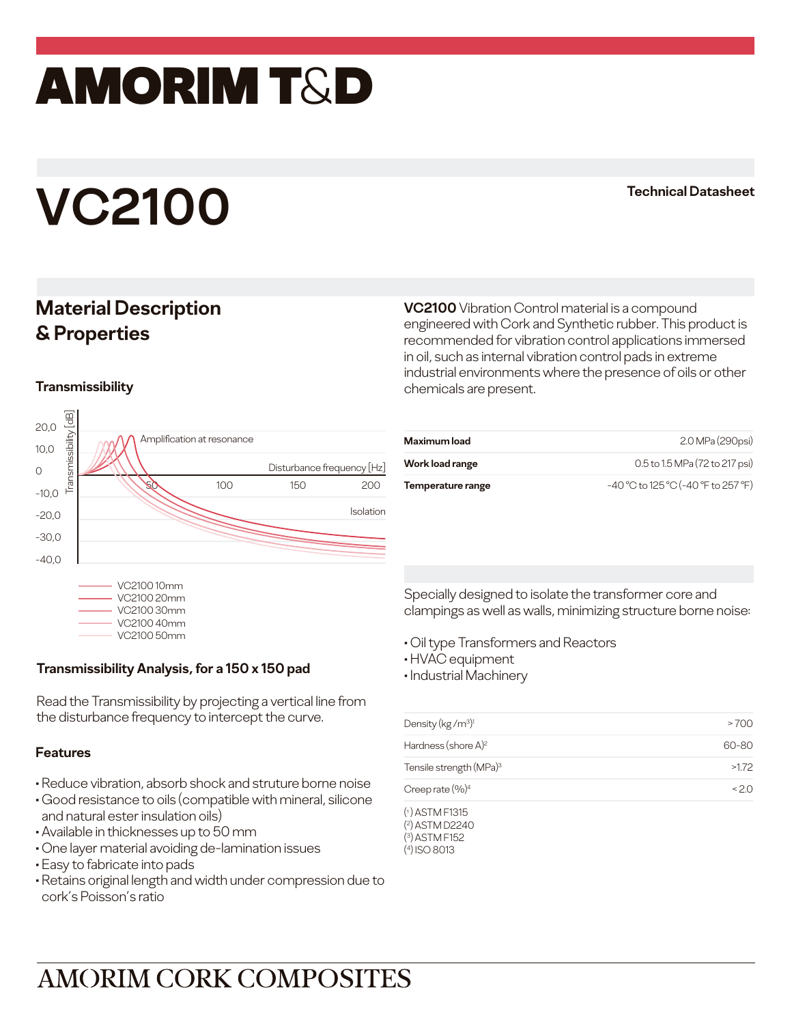## amorim T&D

# **VC2100 Technical Datasheet**

### **Material Description & Properties**

### **Transmissibility**



| Transmissibility Analysis, for a 150 x 150 pad |  |  |
|------------------------------------------------|--|--|

Read the Transmissibility by projecting a vertical line from the disturbance frequency to intercept the curve.

### **Features**

- Reduce vibration, absorb shock and struture borne noise
- Good resistance to oils (compatible with mineral, silicone and natural ester insulation oils)
- Available in thicknesses up to 50 mm
- One layer material avoiding de-lamination issues
- Easy to fabricate into pads
- Retains original length and width under compression due to cork's Poisson's ratio

**VC2100** Vibration Control material is a compound engineered with Cork and Synthetic rubber. This product is recommended for vibration control applications immersed in oil, such as internal vibration control pads in extreme industrial environments where the presence of oils or other chemicals are present.

| Maximum load      | 2.0 MPa (290psi)                    |
|-------------------|-------------------------------------|
| Work load range   | 0.5 to 1.5 MPa (72 to 217 psi)      |
| Temperature range | -40 °C to 125 °C (-40 °F to 257 °F) |

Specially designed to isolate the transformer core and clampings as well as walls, minimizing structure borne noise:

- Oil type Transformers and Reactors
- HVAC equipment
- Industrial Machinery

| Density (kg / $m^3$ ) <sup>1</sup>  | >700  |
|-------------------------------------|-------|
| Hardness (shore $A$ ) <sup>2</sup>  | 60-80 |
| Tensile strength (MPa) <sup>3</sup> | >172  |
| Creep rate $(\%)^4$                 | 270   |

( ) ASTM F1315 ( 2 ) ASTM D2240 ( 3 ) ASTM F152 ( 4) ISO 8013

## **AMORIM CORK COMPOSITES**